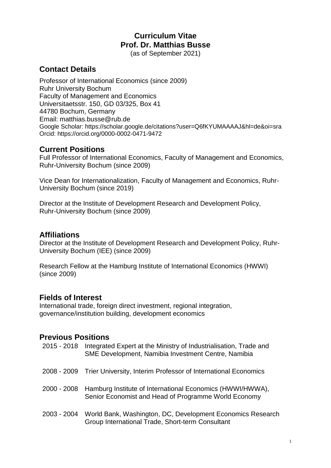# **Curriculum Vitae Prof. Dr. Matthias Busse**

(as of September 2021)

# **Contact Details**

Professor of International Economics (since 2009) Ruhr University Bochum Faculty of Management and Economics Universitaetsstr. 150, GD 03/325, Box 41 44780 Bochum, Germany Email: matthias.busse@rub.de Google Scholar:<https://scholar.google.de/citations?user=Q6fKYUMAAAAJ&hl=de&oi=sra> Orcid:<https://orcid.org/0000-0002-0471-9472>

### **Current Positions**

Full Professor of International Economics, Faculty of Management and Economics, Ruhr-University Bochum (since 2009)

Vice Dean for Internationalization, Faculty of Management and Economics, Ruhr-University Bochum (since 2019)

Director at the Institute of Development Research and Development Policy, Ruhr-University Bochum (since 2009)

### **Affiliations**

Director at the Institute of Development Research and Development Policy, Ruhr-University Bochum (IEE) (since 2009)

Research Fellow at the Hamburg Institute of International Economics (HWWI) (since 2009)

### **Fields of Interest**

International trade, foreign direct investment, regional integration, governance/institution building, development economics

# **Previous Positions**

| 2015 - 2018 | Integrated Expert at the Ministry of Industrialisation, Trade and<br>SME Development, Namibia Investment Centre, Namibia      |
|-------------|-------------------------------------------------------------------------------------------------------------------------------|
|             | 2008 - 2009 Trier University, Interim Professor of International Economics                                                    |
|             | 2000 - 2008 Hamburg Institute of International Economics (HWWI/HWWA),<br>Senior Economist and Head of Programme World Economy |
| 2003 - 2004 | World Bank, Washington, DC, Development Economics Research<br>Group International Trade, Short-term Consultant                |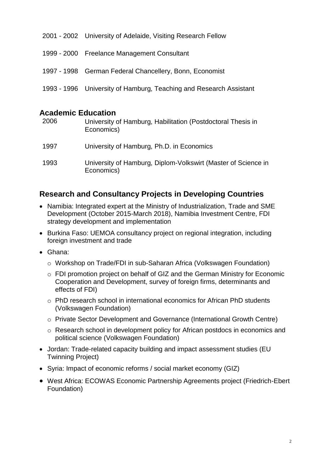| 2001 - 2002 University of Adelaide, Visiting Research Fellow       |
|--------------------------------------------------------------------|
| 1999 - 2000 Freelance Management Consultant                        |
| 1997 - 1998 German Federal Chancellery, Bonn, Economist            |
| 1993 - 1996 University of Hamburg, Teaching and Research Assistant |
|                                                                    |

### **Academic Education**

| 2006 | University of Hamburg, Habilitation (Postdoctoral Thesis in<br>Economics)   |
|------|-----------------------------------------------------------------------------|
| 1997 | University of Hamburg, Ph.D. in Economics                                   |
| 1993 | University of Hamburg, Diplom-Volkswirt (Master of Science in<br>Economics) |

# **Research and Consultancy Projects in Developing Countries**

- Namibia: Integrated expert at the Ministry of Industrialization, Trade and SME Development (October 2015-March 2018), Namibia Investment Centre, FDI strategy development and implementation
- Burkina Faso: UEMOA consultancy project on regional integration, including foreign investment and trade
- Ghana:
	- o Workshop on Trade/FDI in sub-Saharan Africa (Volkswagen Foundation)
	- o FDI promotion project on behalf of GIZ and the German Ministry for Economic Cooperation and Development, survey of foreign firms, determinants and effects of FDI)
	- o PhD research school in international economics for African PhD students (Volkswagen Foundation)
	- o Private Sector Development and Governance (International Growth Centre)
	- o Research school in development policy for African postdocs in economics and political science (Volkswagen Foundation)
- Jordan: Trade-related capacity building and impact assessment studies (EU Twinning Project)
- Syria: Impact of economic reforms / social market economy (GIZ)
- West Africa: ECOWAS Economic Partnership Agreements project (Friedrich-Ebert Foundation)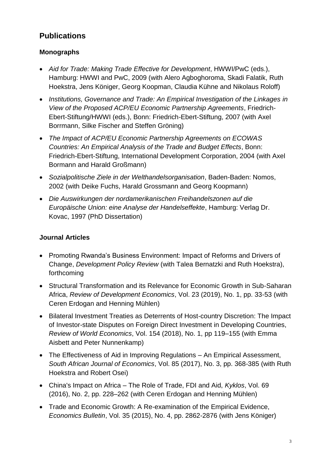# **Publications**

### **Monographs**

- *Aid for Trade: Making Trade Effective for Development*, HWWI/PwC (eds.), Hamburg: HWWI and PwC, 2009 (with Alero Agboghoroma, Skadi Falatik, Ruth Hoekstra, Jens Königer, Georg Koopman, Claudia Kühne and Nikolaus Roloff)
- *Institutions, Governance and Trade: An Empirical Investigation of the Linkages in View of the Proposed ACP/EU Economic Partnership Agreements*, Friedrich-Ebert-Stiftung/HWWI (eds.), Bonn: Friedrich-Ebert-Stiftung, 2007 (with Axel Borrmann, Silke Fischer and Steffen Gröning)
- *The Impact of ACP/EU Economic Partnership Agreements on ECOWAS Countries: An Empirical Analysis of the Trade and Budget Effects*, Bonn: Friedrich-Ebert-Stiftung, International Development Corporation, 2004 (with Axel Bormann and Harald Großmann)
- *Sozialpolitische Ziele in der Welthandelsorganisation*, Baden-Baden: Nomos, 2002 (with Deike Fuchs, Harald Grossmann and Georg Koopmann)
- *Die Auswirkungen der nordamerikanischen Freihandelszonen auf die Europäische Union: eine Analyse der Handelseffekte*, Hamburg: Verlag Dr. Kovac, 1997 (PhD Dissertation)

### **Journal Articles**

- Promoting Rwanda's Business Environment: Impact of Reforms and Drivers of Change, *Development Policy Review* (with Talea Bernatzki and Ruth Hoekstra), forthcoming
- Structural Transformation and its Relevance for Economic Growth in Sub-Saharan Africa, *Review of Development Economics*, Vol. 23 (2019), No. 1, pp. 33-53 (with Ceren Erdogan and Henning Mühlen)
- Bilateral Investment Treaties as Deterrents of Host-country Discretion: The Impact of Investor-state Disputes on Foreign Direct Investment in Developing Countries, *Review of World Economics*, Vol. 154 (2018), No. 1, pp 119–155 (with Emma Aisbett and Peter Nunnenkamp)
- The Effectiveness of Aid in Improving Regulations An Empirical Assessment, *South African Journal of Economics*, Vol. 85 (2017), No. 3, pp. 368-385 (with Ruth Hoekstra and Robert Osei)
- China's Impact on Africa [The Role of Trade, FDI and Aid,](http://onlinelibrary.wiley.com/doi/10.1111/kykl.12110/abstract?campaign=woletoc) *Kyklos*, Vol. 69 (2016), No. [2, pp. 228–262](http://onlinelibrary.wiley.com/doi/10.1111/kykl.12110/abstract?campaign=woletoc) (with Ceren Erdogan and Henning Mühlen)
- Trade and Economic Growth: A Re-examination of the Empirical Evidence, *Economics Bulletin*, Vol. 35 (2015), No. 4, pp. 2862-2876 (with Jens Königer)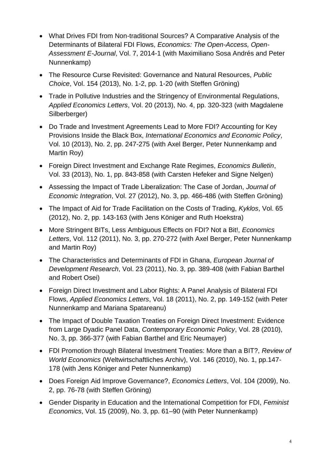- What Drives FDI from Non-traditional Sources? A Comparative Analysis of the Determinants of Bilateral FDI Flows, *Economics: The Open-Access, Open-Assessment E-Journal*, Vol. 7, 2014-1 (with [Maximiliano Sosa Andrés](http://www.economics-ejournal.org/community/authors/author.2012-10-10.7558593348) and [Peter](http://www.economics-ejournal.org/community/authors/author.2012-10-10.6915357597)  [Nunnenkamp\)](http://www.economics-ejournal.org/community/authors/author.2012-10-10.6915357597)
- The Resource Curse Revisited: Governance and Natural Resources, *Public Choice*, Vol. 154 (2013), No. 1-2, pp. 1-20 (with Steffen Gröning)
- Trade in Pollutive Industries and the Stringency of Environmental Regulations, *Applied Economics Letters*, Vol. 20 (2013), No. 4, pp. 320-323 (with Magdalene Silberberger)
- Do Trade and Investment Agreements Lead to More FDI? Accounting for Key Provisions Inside the Black Box, *International Economics and Economic Policy*, Vol. 10 (2013), No. 2, pp. 247-275 (with Axel Berger, Peter Nunnenkamp and Martin Roy)
- Foreign Direct Investment and Exchange Rate Regimes, *Economics Bulletin*, Vol. 33 (2013), No. 1, pp. 843-858 (with Carsten Hefeker and Signe Nelgen)
- Assessing the Impact of Trade Liberalization: The Case of Jordan, *Journal of Economic Integration*, Vol. 27 (2012), No. 3, pp. 466-486 (with Steffen Gröning)
- The Impact of Aid for Trade Facilitation on the Costs of Trading, *Kyklos*, Vol. 65 (2012), No. 2, pp. 143-163 (with Jens Königer and Ruth Hoekstra)
- More Stringent BITs, Less Ambiguous Effects on FDI? Not a Bit!, *Economics Letters*, Vol. 112 (2011), No. 3, pp. 270-272 (with Axel Berger, Peter Nunnenkamp and Martin Roy)
- The Characteristics and Determinants of FDI in Ghana, *European Journal of Development Research*, Vol. 23 (2011), No. 3, pp. 389-408 (with Fabian Barthel and Robert Osei)
- Foreign Direct Investment and Labor Rights: A Panel Analysis of Bilateral FDI Flows, *Applied Economics Letters*, Vol. 18 (2011), No. 2, pp. 149-152 (with Peter Nunnenkamp and Mariana Spatareanu)
- The Impact of Double Taxation Treaties on Foreign Direct Investment: Evidence from Large Dyadic Panel Data, *Contemporary Economic Policy*, Vol. 28 (2010), No. 3, pp. 366-377 (with Fabian Barthel and Eric Neumayer)
- FDI Promotion through Bilateral Investment Treaties: More than a BIT?, *Review of World Economics* (Weltwirtschaftliches Archiv), Vol. 146 (2010), No. 1, pp.147- 178 (with Jens Königer and Peter Nunnenkamp)
- Does Foreign Aid Improve Governance?, *Economics Letters*, Vol. 104 (2009), No. 2, pp. 76-78 (with Steffen Gröning)
- Gender Disparity in Education and the International Competition for FDI, *Feminist Economics*, Vol. 15 (2009), No. 3, pp. 61–90 (with Peter Nunnenkamp)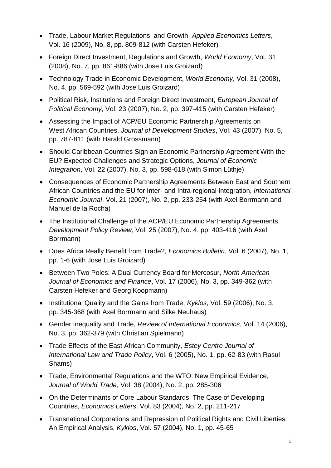- Trade, Labour Market Regulations, and Growth, *Applied Economics Letters*, Vol. [16](http://www.informaworld.com/smpp/title~content=t713684190~db=all~tab=issueslist~branches=16#v16) (2009), No. [8,](http://www.informaworld.com/smpp/title~content=g911061498~db=all) pp. 809-812 (with Carsten Hefeker)
- Foreign Direct Investment, Regulations and Growth, *World Economy*, Vol. 31 (2008), No. 7, pp. 861-886 (with Jose Luis Groizard)
- Technology Trade in Economic Development, *World Economy*, Vol. 31 (2008), No. 4, pp. 569-592 (with Jose Luis Groizard)
- Political Risk, Institutions and Foreign Direct Investment, *European Journal of Political Economy*, Vol. 23 (2007), No. 2, pp. 397-415 (with Carsten Hefeker)
- Assessing the Impact of ACP/EU Economic Partnership Agreements on West African Countries, *Journal of Development Studies*, Vol. 43 (2007), No. 5, pp. 787-811 (with Harald Grossmann)
- Should Caribbean Countries Sign an Economic Partnership Agreement With the EU? Expected Challenges and Strategic Options, *Journal of Economic Integration*, Vol. 22 (2007), No. 3, pp. 598-618 (with Simon Lüthje)
- Consequences of Economic Partnership Agreements Between East and Southern African Countries and the EU for Inter- and Intra-regional Integration, *International Economic Journal*, Vol. 21 (2007), No. 2, pp. 233-254 (with Axel Borrmann and Manuel de la Rocha)
- The Institutional Challenge of the ACP/EU Economic Partnership Agreements, *Development Policy Review*, Vol. 25 (2007), No. 4, pp. 403-416 (with Axel Borrmann)
- Does Africa Really Benefit from Trade?, *Economics Bulletin*, Vol. 6 (2007), No. 1, pp. 1-6 (with Jose Luis Groizard)
- Between Two Poles: A Dual Currency Board for Mercosur, *North American Journal of Economics and Finance*, Vol. 17 (2006), No. 3, pp. 349-362 (with Carsten Hefeker and Georg Koopmann)
- Institutional Quality and the Gains from Trade, *Kyklos*, Vol. 59 (2006), No. 3, pp. 345-368 (with Axel Borrmann and Silke Neuhaus)
- Gender Inequality and Trade, *Review of International Economics*, Vol. 14 (2006), No. 3, pp. 362-379 (with Christian Spielmann)
- Trade Effects of the East African Community, *Estey Centre Journal of International Law and Trade Policy*, Vol. 6 (2005), No. 1, pp. 62-83 (with Rasul Shams)
- Trade, Environmental Regulations and the WTO: New Empirical Evidence, *Journal of World Trade*, Vol. 38 (2004), No. 2, pp. 285-306
- On the Determinants of Core Labour Standards: The Case of Developing Countries, *Economics Letters*, Vol. 83 (2004), No. 2, pp. 211-217
- Transnational Corporations and Repression of Political Rights and Civil Liberties: An Empirical Analysis, *Kyklos*, Vol. 57 (2004), No. 1, pp. 45-65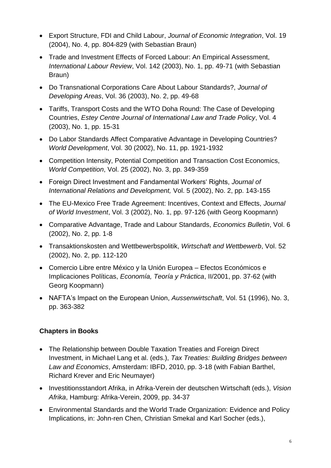- Export Structure, FDI and Child Labour, *Journal of Economic Integration*, Vol. 19 (2004), No. 4, pp. 804-829 (with Sebastian Braun)
- Trade and Investment Effects of Forced Labour: An Empirical Assessment, *International Labour Review*, Vol. 142 (2003), No. 1, pp. 49-71 (with Sebastian Braun)
- Do Transnational Corporations Care About Labour Standards?, *Journal of Developing Areas*, Vol. 36 (2003), No. 2, pp. 49-68
- Tariffs, Transport Costs and the WTO Doha Round: The Case of Developing Countries, *Estey Centre Journal of International Law and Trade Policy*, Vol. 4 (2003), No. 1, pp. 15-31
- Do Labor Standards Affect Comparative Advantage in Developing Countries? *World Development*, Vol. 30 (2002), No. 11, pp. 1921-1932
- Competition Intensity, Potential Competition and Transaction Cost Economics, *World Competition*, Vol. 25 (2002), No. 3, pp. 349-359
- Foreign Direct Investment and Fandamental Workers' Rights, *Journal of International Relations and Development,* Vol. 5 (2002), No. 2, pp. 143-155
- The EU-Mexico Free Trade Agreement: Incentives, Context and Effects, *Journal of World Investment*, Vol. 3 (2002), No. 1, pp. 97-126 (with Georg Koopmann)
- Comparative Advantage, Trade and Labour Standards, *Economics Bulletin*, Vol. 6 (2002), No. 2, pp. 1-8
- Transaktionskosten and Wettbewerbspolitik, *Wirtschaft and Wettbewerb*, Vol. 52 (2002), No. 2, pp. 112-120
- Comercio Libre entre México y la Unión Europea Efectos Económicos e Implicaciones Políticas, *Economía, Teoría y Práctica*, II/2001, pp. 37-62 (with Georg Koopmann)
- NAFTA's Impact on the European Union, *Aussenwirtschaft*, Vol. 51 (1996), No. 3, pp. 363-382

### **Chapters in Books**

- The Relationship between Double Taxation Treaties and Foreign Direct Investment, in Michael Lang et al. (eds.), *Tax Treaties: Building Bridges between Law and Economics*, Amsterdam: IBFD, 2010, pp. 3-18 (with Fabian Barthel, Richard Krever and Eric Neumayer)
- Investitionsstandort Afrika, in Afrika-Verein der deutschen Wirtschaft (eds.), *Vision Afrika*, Hamburg: Afrika-Verein, 2009, pp. 34-37
- Environmental Standards and the World Trade Organization: Evidence and Policy Implications, in: John-ren Chen, Christian Smekal and Karl Socher (eds.),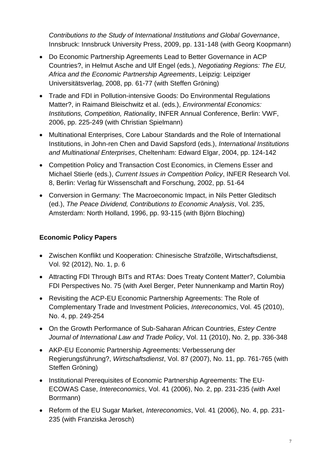*Contributions to the Study of International Institutions and Global Governance*, Innsbruck: Innsbruck University Press, 2009, pp. 131-148 (with Georg Koopmann)

- Do Economic Partnership Agreements Lead to Better Governance in ACP Countries?, in Helmut Asche and Ulf Engel (eds.), *Negotiating Regions: The EU, Africa and the Economic Partnership Agreements*, Leipzig: Leipziger Universitätsverlag, 2008, pp. 61-77 (with Steffen Gröning)
- Trade and FDI in Pollution-intensive Goods: Do Environmental Regulations Matter?, in Raimand Bleischwitz et al. (eds.), *Environmental Economics: Institutions, Competition, Rationality*, INFER Annual Conference, Berlin: VWF, 2006, pp. 225-249 (with Christian Spielmann)
- Multinational Enterprises, Core Labour Standards and the Role of International Institutions, in John-ren Chen and David Sapsford (eds.), *International Institutions and Multinational Enterprises*, Cheltenham: Edward Elgar, 2004, pp. 124-142
- Competition Policy and Transaction Cost Economics, in Clemens Esser and Michael Stierle (eds.), *Current Issues in Competition Policy*, INFER Research Vol. 8, Berlin: Verlag für Wissenschaft and Forschung, 2002, pp. 51-64
- Conversion in Germany: The Macroeconomic Impact, in Nils Petter Gleditsch (ed.), *The Peace Dividend, Contributions to Economic Analysis*, Vol. 235, Amsterdam: North Holland, 1996, pp. 93-115 (with Björn Bloching)

### **Economic Policy Papers**

- [Zwischen Konflikt und Kooperation: Chinesische Strafzölle,](http://www.econis.eu/DB=1/SET=2/TTL=1/SHW?FRST=3) Wirtschaftsdienst, Vol. 92 (2012), No. 1, p. 6
- [Attracting FDI Through BITs and RTAs: Does Treaty Content Matter?,](http://www.vcc.columbia.edu/content/attracting-fdi-through-bits-and-rtas-does-treaty-content-matter) Columbia FDI Perspectives No. 75 (with Axel Berger, Peter Nunnenkamp and Martin Roy)
- Revisiting the ACP-EU Economic Partnership Agreements: The Role of Complementary Trade and Investment Policies, *Intereconomics*, Vol. 45 (2010), No. 4, pp. 249-254
- On the Growth Performance of Sub-Saharan African Countries, *Estey Centre Journal of International Law and Trade Policy*, Vol. 11 (2010), No. 2, pp. 336-348
- AKP-EU Economic Partnership Agreements: Verbesserung der Regierungsführung?, *Wirtschaftsdienst*, Vol. 87 (2007), No. 11, pp. 761-765 (with Steffen Gröning)
- Institutional Prerequisites of Economic Partnership Agreements: The EU-ECOWAS Case, *Intereconomics*, Vol. 41 (2006), No. 2, pp. 231-235 (with Axel Borrmann)
- Reform of the EU Sugar Market, *Intereconomics*, Vol. 41 (2006), No. 4, pp. 231- 235 (with Franziska Jerosch)